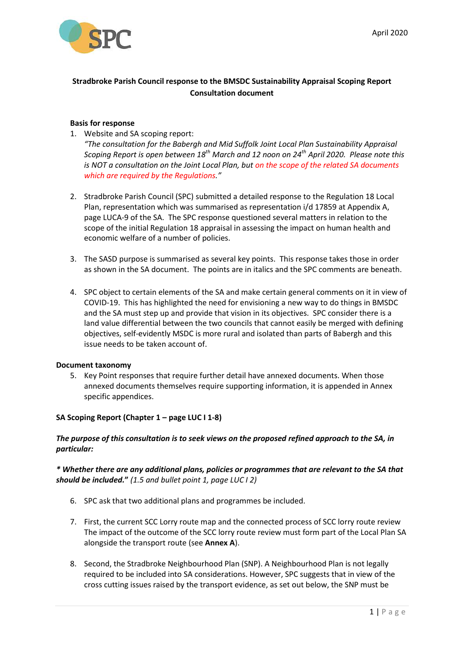

# **Stradbroke Parish Council response to the BMSDC Sustainability Appraisal Scoping Report Consultation document**

#### **Basis for response**

- 1. Website and SA scoping report: *"The consultation for the Babergh and Mid Suffolk Joint Local Plan Sustainability Appraisal Scoping Report is open between 18th March and 12 noon on 24th April 2020. Please note this is NOT a consultation on the Joint Local Plan, but on the scope of the related SA documents which are required by the Regulations."*
- 2. Stradbroke Parish Council (SPC) submitted a detailed response to the Regulation 18 Local Plan, representation which was summarised as representation i/d 17859 at Appendix A, page LUCA-9 of the SA. The SPC response questioned several matters in relation to the scope of the initial Regulation 18 appraisal in assessing the impact on human health and economic welfare of a number of policies.
- 3. The SASD purpose is summarised as several key points. This response takes those in order as shown in the SA document. The points are in italics and the SPC comments are beneath.
- 4. SPC object to certain elements of the SA and make certain general comments on it in view of COVID-19. This has highlighted the need for envisioning a new way to do things in BMSDC and the SA must step up and provide that vision in its objectives. SPC consider there is a land value differential between the two councils that cannot easily be merged with defining objectives, self-evidently MSDC is more rural and isolated than parts of Babergh and this issue needs to be taken account of.

#### **Document taxonomy**

5. Key Point responses that require further detail have annexed documents. When those annexed documents themselves require supporting information, it is appended in Annex specific appendices.

#### **SA Scoping Report (Chapter 1 – page LUC I 1-8)**

### *The purpose of this consultation is to seek views on the proposed refined approach to the SA, in particular:*

# *\* Whether there are any additional plans, policies or programmes that are relevant to the SA that should be included.***"** *(1.5 and bullet point 1, page LUC I 2)*

- 6. SPC ask that two additional plans and programmes be included.
- 7. First, the current SCC Lorry route map and the connected process of SCC lorry route review The impact of the outcome of the SCC lorry route review must form part of the Local Plan SA alongside the transport route (see **Annex A**).
- 8. Second, the Stradbroke Neighbourhood Plan (SNP). A Neighbourhood Plan is not legally required to be included into SA considerations. However, SPC suggests that in view of the cross cutting issues raised by the transport evidence, as set out below, the SNP must be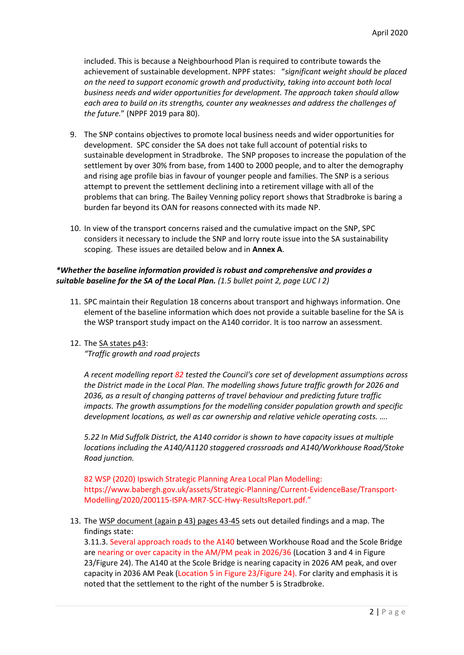included. This is because a Neighbourhood Plan is required to contribute towards the achievement of sustainable development. NPPF states: "*significant weight should be placed on the need to support economic growth and productivity, taking into account both local business needs and wider opportunities for development. The approach taken should allow each area to build on its strengths, counter any weaknesses and address the challenges of the future.*" (NPPF 2019 para 80).

- 9. The SNP contains objectives to promote local business needs and wider opportunities for development. SPC consider the SA does not take full account of potential risks to sustainable development in Stradbroke. The SNP proposes to increase the population of the settlement by over 30% from base, from 1400 to 2000 people, and to alter the demography and rising age profile bias in favour of younger people and families. The SNP is a serious attempt to prevent the settlement declining into a retirement village with all of the problems that can bring. The Bailey Venning policy report shows that Stradbroke is baring a burden far beyond its OAN for reasons connected with its made NP.
- 10. In view of the transport concerns raised and the cumulative impact on the SNP, SPC considers it necessary to include the SNP and lorry route issue into the SA sustainability scoping. These issues are detailed below and in **Annex A**.

### *\*Whether the baseline information provided is robust and comprehensive and provides a suitable baseline for the SA of the Local Plan. (1.5 bullet point 2, page LUC I 2)*

- 11. SPC maintain their Regulation 18 concerns about transport and highways information. One element of the baseline information which does not provide a suitable baseline for the SA is the WSP transport study impact on the A140 corridor. It is too narrow an assessment.
- 12. The SA states p43:

*"Traffic growth and road projects*

*A recent modelling report 82 tested the Council's core set of development assumptions across the District made in the Local Plan. The modelling shows future traffic growth for 2026 and 2036, as a result of changing patterns of travel behaviour and predicting future traffic impacts. The growth assumptions for the modelling consider population growth and specific development locations, as well as car ownership and relative vehicle operating costs. ….*

*5.22 In Mid Suffolk District, the A140 corridor is shown to have capacity issues at multiple locations including the A140/A1120 staggered crossroads and A140/Workhouse Road/Stoke Road junction.*

82 WSP (2020) Ipswich Strategic Planning Area Local Plan Modelling: https://www.babergh.gov.uk/assets/Strategic-Planning/Current-EvidenceBase/Transport-Modelling/2020/200115-ISPA-MR7-SCC-Hwy-ResultsReport.pdf."

13. The WSP document (again p 43) pages 43-45 sets out detailed findings and a map. The findings state:

3.11.3. Several approach roads to the A140 between Workhouse Road and the Scole Bridge are nearing or over capacity in the AM/PM peak in 2026/36 (Location 3 and 4 in Figure 23/Figure 24). The A140 at the Scole Bridge is nearing capacity in 2026 AM peak, and over capacity in 2036 AM Peak (Location 5 in Figure 23/Figure 24). For clarity and emphasis it is noted that the settlement to the right of the number 5 is Stradbroke.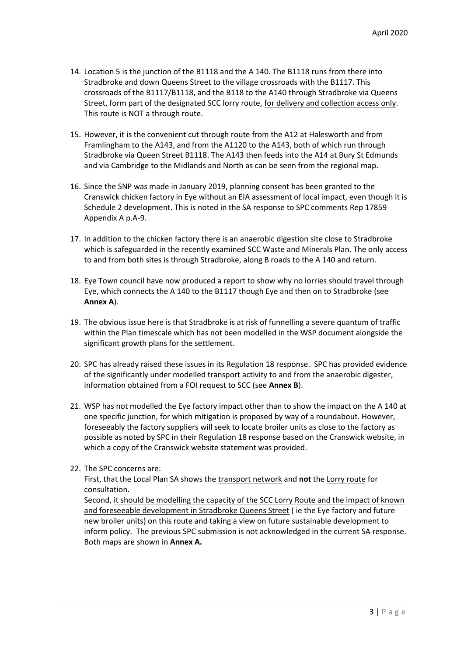- 14. Location 5 is the junction of the B1118 and the A 140. The B1118 runs from there into Stradbroke and down Queens Street to the village crossroads with the B1117. This crossroads of the B1117/B1118, and the B118 to the A140 through Stradbroke via Queens Street, form part of the designated SCC lorry route, for delivery and collection access only. This route is NOT a through route.
- 15. However, it is the convenient cut through route from the A12 at Halesworth and from Framlingham to the A143, and from the A1120 to the A143, both of which run through Stradbroke via Queen Street B1118. The A143 then feeds into the A14 at Bury St Edmunds and via Cambridge to the Midlands and North as can be seen from the regional map.
- 16. Since the SNP was made in January 2019, planning consent has been granted to the Cranswick chicken factory in Eye without an EIA assessment of local impact, even though it is Schedule 2 development. This is noted in the SA response to SPC comments Rep 17859 Appendix A p.A-9.
- 17. In addition to the chicken factory there is an anaerobic digestion site close to Stradbroke which is safeguarded in the recently examined SCC Waste and Minerals Plan. The only access to and from both sites is through Stradbroke, along B roads to the A 140 and return.
- 18. Eye Town council have now produced a report to show why no lorries should travel through Eye, which connects the A 140 to the B1117 though Eye and then on to Stradbroke (see **Annex A**).
- 19. The obvious issue here is that Stradbroke is at risk of funnelling a severe quantum of traffic within the Plan timescale which has not been modelled in the WSP document alongside the significant growth plans for the settlement.
- 20. SPC has already raised these issues in its Regulation 18 response. SPC has provided evidence of the significantly under modelled transport activity to and from the anaerobic digester, information obtained from a FOI request to SCC (see **Annex B**).
- 21. WSP has not modelled the Eye factory impact other than to show the impact on the A 140 at one specific junction, for which mitigation is proposed by way of a roundabout. However, foreseeably the factory suppliers will seek to locate broiler units as close to the factory as possible as noted by SPC in their Regulation 18 response based on the Cranswick website, in which a copy of the Cranswick website statement was provided.
- 22. The SPC concerns are:

First, that the Local Plan SA shows the transport network and **not** the Lorry route for consultation.

Second, it should be modelling the capacity of the SCC Lorry Route and the impact of known and foreseeable development in Stradbroke Queens Street ( ie the Eye factory and future new broiler units) on this route and taking a view on future sustainable development to inform policy. The previous SPC submission is not acknowledged in the current SA response. Both maps are shown in **Annex A.**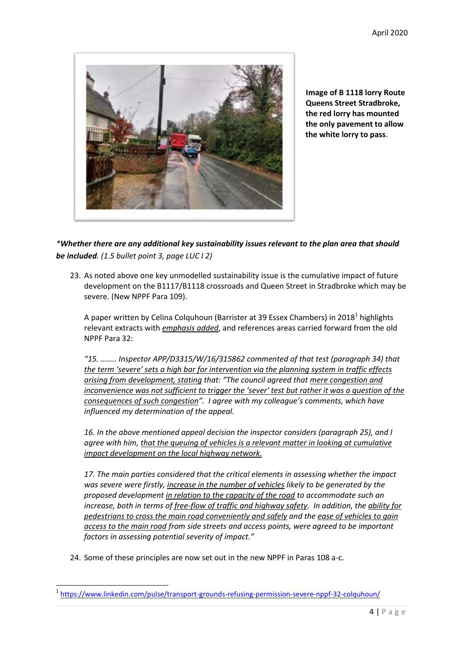

**Image of B 1118 lorry Route Queens Street Stradbroke, the red lorry has mounted the only pavement to allow the white lorry to pass**.

*\*Whether there are any additional key sustainability issues relevant to the plan area that should be included. (1.5 bullet point 3, page LUC I 2)*

23. As noted above one key unmodelled sustainability issue is the cumulative impact of future development on the B1117/B1118 crossroads and Queen Street in Stradbroke which may be severe. (New NPPF Para 109).

A paper written by Celina Colquhoun (Barrister at 39 Essex Chambers) in 2018<sup>1</sup> highlights relevant extracts with *emphasis added*, and references areas carried forward from the old NPPF Para 32:

*"15. …….. Inspector APP/D3315/W/16/315862 commented of that test (paragraph 34) that the term 'severe' sets a high bar for intervention via the planning system in traffic effects arising from development, stating that: "The council agreed that mere congestion and inconvenience was not sufficient to trigger the 'sever' test but rather it was a question of the consequences of such congestion". I agree with my colleague's comments, which have influenced my determination of the appeal.*

*16. In the above mentioned appeal decision the inspector considers (paragraph 25), and I agree with him, that the queuing of vehicles is a relevant matter in looking at cumulative impact development on the local highway network.*

*17. The main parties considered that the critical elements in assessing whether the impact was severe were firstly, increase in the number of vehicles likely to be generated by the proposed development in relation to the capacity of the road to accommodate such an increase, both in terms of free-flow of traffic and highway safety. In addition, the ability for pedestrians to cross the main road conveniently and safely and the ease of vehicles to gain access to the main road from side streets and access points, were agreed to be important factors in assessing potential severity of impact."*

24. Some of these principles are now set out in the new NPPF in Paras 108 a-c.

**.** 

<sup>&</sup>lt;sup>1</sup> <https://www.linkedin.com/pulse/transport-grounds-refusing-permission-severe-nppf-32-colquhoun/>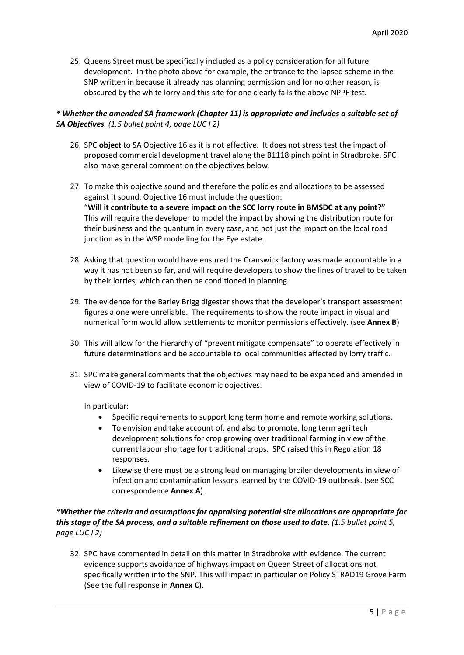25. Queens Street must be specifically included as a policy consideration for all future development. In the photo above for example, the entrance to the lapsed scheme in the SNP written in because it already has planning permission and for no other reason, is obscured by the white lorry and this site for one clearly fails the above NPPF test.

# *\* Whether the amended SA framework (Chapter 11) is appropriate and includes a suitable set of SA Objectives. (1.5 bullet point 4, page LUC I 2)*

- 26. SPC **object** to SA Objective 16 as it is not effective. It does not stress test the impact of proposed commercial development travel along the B1118 pinch point in Stradbroke. SPC also make general comment on the objectives below.
- 27. To make this objective sound and therefore the policies and allocations to be assessed against it sound, Objective 16 must include the question: "**Will it contribute to a severe impact on the SCC lorry route in BMSDC at any point?"** This will require the developer to model the impact by showing the distribution route for their business and the quantum in every case, and not just the impact on the local road junction as in the WSP modelling for the Eye estate.
- 28. Asking that question would have ensured the Cranswick factory was made accountable in a way it has not been so far, and will require developers to show the lines of travel to be taken by their lorries, which can then be conditioned in planning.
- 29. The evidence for the Barley Brigg digester shows that the developer's transport assessment figures alone were unreliable. The requirements to show the route impact in visual and numerical form would allow settlements to monitor permissions effectively. (see **Annex B**)
- 30. This will allow for the hierarchy of "prevent mitigate compensate" to operate effectively in future determinations and be accountable to local communities affected by lorry traffic.
- 31. SPC make general comments that the objectives may need to be expanded and amended in view of COVID-19 to facilitate economic objectives.

In particular:

- Specific requirements to support long term home and remote working solutions.
- To envision and take account of, and also to promote, long term agri tech development solutions for crop growing over traditional farming in view of the current labour shortage for traditional crops. SPC raised this in Regulation 18 responses.
- Likewise there must be a strong lead on managing broiler developments in view of infection and contamination lessons learned by the COVID-19 outbreak. (see SCC correspondence **Annex A**).

# *\*Whether the criteria and assumptions for appraising potential site allocations are appropriate for this stage of the SA process, and a suitable refinement on those used to date. (1.5 bullet point 5, page LUC I 2)*

32. SPC have commented in detail on this matter in Stradbroke with evidence. The current evidence supports avoidance of highways impact on Queen Street of allocations not specifically written into the SNP. This will impact in particular on Policy STRAD19 Grove Farm (See the full response in **Annex C**).